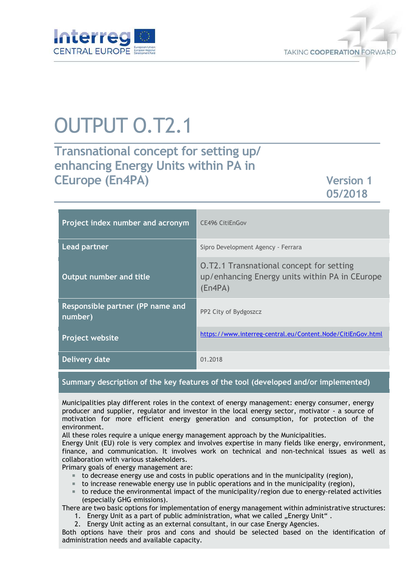



# OUTPUT O.T2.1

# **Transnational concept for setting up/ enhancing Energy Units within PA in CEurope (En4PA) Version 1**

**05/2018**

| Project index number and acronym            | <b>CE496 CitiEnGov</b>                                                                                       |
|---------------------------------------------|--------------------------------------------------------------------------------------------------------------|
| <b>Lead partner</b>                         | Sipro Development Agency - Ferrara                                                                           |
| Output number and title                     | <b>O.T2.1 Transnational concept for setting</b><br>up/enhancing Energy units within PA in CEurope<br>(En4PA) |
| Responsible partner (PP name and<br>number) | PP2 City of Bydgoszcz                                                                                        |
| <b>Project website</b>                      | https://www.interreg-central.eu/Content.Node/CitiEnGov.html                                                  |
| Delivery date                               | 01.2018                                                                                                      |

**Summary description of the key features of the tool (developed and/or implemented)** 

Municipalities play different roles in the context of energy management: energy consumer, energy producer and supplier, regulator and investor in the local energy sector, motivator - a source of motivation for more efficient energy generation and consumption, for protection of the environment.

All these roles require a unique energy management approach by the Municipalities.

Energy Unit (EU) role is very complex and involves expertise in many fields like energy, environment, finance, and communication. It involves work on technical and non-technical issues as well as collaboration with various stakeholders.

Primary goals of energy management are:

- to decrease energy use and costs in public operations and in the municipality (region),
- $\blacksquare$  to increase renewable energy use in public operations and in the municipality (region),
- $\blacksquare$  to reduce the environmental impact of the municipality/region due to energy-related activities (especially GHG emissions).

There are two basic options for implementation of energy management within administrative structures:

- 1. Energy Unit as a part of public administration, what we called "Energy Unit".
- 2. Energy Unit acting as an external consultant, in our case Energy Agencies.

Both options have their pros and cons and should be selected based on the identification of administration needs and available capacity.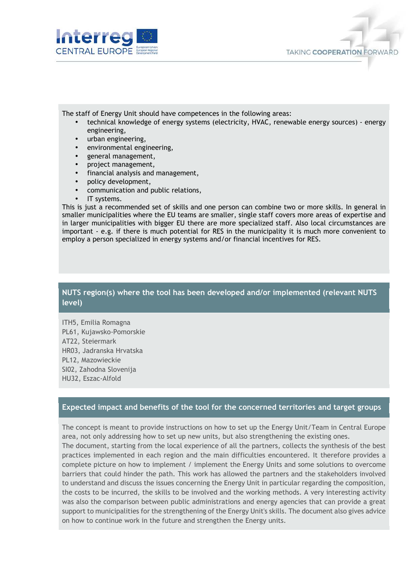



The staff of Energy Unit should have competences in the following areas:

- technical knowledge of energy systems (electricity, HVAC, renewable energy sources) energy engineering,
- urban engineering,
- environmental engineering,
- general management,
- project management,
- financial analysis and management,
- policy development,
- communication and public relations,
- IT systems.

This is just a recommended set of skills and one person can combine two or more skills. In general in smaller municipalities where the EU teams are smaller, single staff covers more areas of expertise and in larger municipalities with bigger EU there are more specialized staff. Also local circumstances are important - e.g. if there is much potential for RES in the municipality it is much more convenient to employ a person specialized in energy systems and/or financial incentives for RES.

### **NUTS region(s) where the tool has been developed and/or implemented (relevant NUTS level)**

ITH5, Emilia Romagna PL61, Kujawsko-Pomorskie AT22, Steiermark HR03, Jadranska Hrvatska PL12, Mazowieckie SI02, Zahodna Slovenija HU32, Eszac-Alfold

#### **Expected impact and benefits of the tool for the concerned territories and target groups**

The concept is meant to provide instructions on how to set up the Energy Unit/Team in Central Europe area, not only addressing how to set up new units, but also strengthening the existing ones. The document, starting from the local experience of all the partners, collects the synthesis of the best practices implemented in each region and the main difficulties encountered. It therefore provides a complete picture on how to implement / implement the Energy Units and some solutions to overcome barriers that could hinder the path. This work has allowed the partners and the stakeholders involved to understand and discuss the issues concerning the Energy Unit in particular regarding the composition, the costs to be incurred, the skills to be involved and the working methods. A very interesting activity was also the comparison between public administrations and energy agencies that can provide a great support to municipalities for the strengthening of the Energy Unit's skills. The document also gives advice on how to continue work in the future and strengthen the Energy units.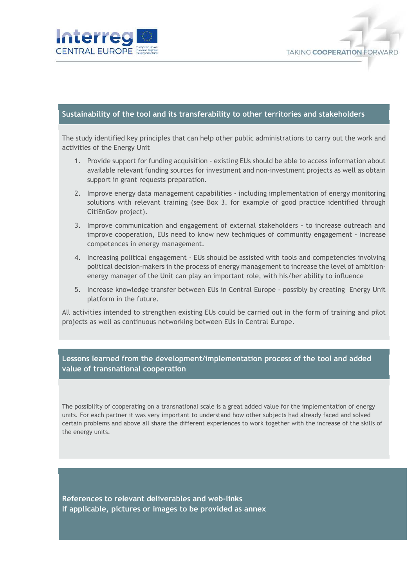



#### **Sustainability of the tool and its transferability to other territories and stakeholders**

The study identified key principles that can help other public administrations to carry out the work and activities of the Energy Unit

- 1. Provide support for funding acquisition existing EUs should be able to access information about available relevant funding sources for investment and non-investment projects as well as obtain support in grant requests preparation.
- 2. Improve energy data management capabilities including implementation of energy monitoring solutions with relevant training (see Box 3. for example of good practice identified through CitiEnGov project).
- 3. Improve communication and engagement of external stakeholders to increase outreach and improve cooperation, EUs need to know new techniques of community engagement - increase competences in energy management.
- 4. Increasing political engagement EUs should be assisted with tools and competencies involving political decision-makers in the process of energy management to increase the level of ambitionenergy manager of the Unit can play an important role, with his/her ability to influence
- 5. Increase knowledge transfer between EUs in Central Europe possibly by creating Energy Unit platform in the future.

All activities intended to strengthen existing EUs could be carried out in the form of training and pilot projects as well as continuous networking between EUs in Central Europe.

## **Lessons learned from the development/implementation process of the tool and added value of transnational cooperation**

The possibility of cooperating on a transnational scale is a great added value for the implementation of energy units. For each partner it was very important to understand how other subjects had already faced and solved certain problems and above all share the different experiences to work together with the increase of the skills of the energy units.

**References to relevant deliverables and web-links If applicable, pictures or images to be provided as annex**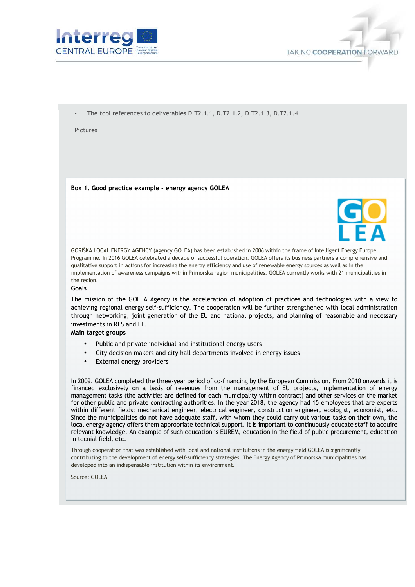



The tool references to deliverables D.T2.1.1, D.T2.1.2, D.T2.1.3, D.T2.1.4

**Pictures** 

**Box 1. Good practice example - energy agency GOLEA** 



GORIŠKA LOCAL ENERGY AGENCY (Agency GOLEA) has been established in 2006 within the frame of Intelligent Energy Europe Programme. In 2016 GOLEA celebrated a decade of successful operation. GOLEA offers its business partners a comprehensive and qualitative support in actions for increasing the energy efficiency and use of renewable energy sources as well as in the implementation of awareness campaigns within Primorska region municipalities. GOLEA currently works with 21 municipalities in the region.

#### **Goals**

The mission of the GOLEA Agency is the acceleration of adoption of practices and technologies with a view to achieving regional energy self-sufficiency. The cooperation will be further strengthened with local administration through networking, joint generation of the EU and national projects, and planning of reasonable and necessary investments in RES and EE.

#### **Main target groups**

- Public and private individual and institutional energy users
- City decision makers and city hall departments involved in energy issues
- External energy providers

In 2009, GOLEA completed the three-year period of co-financing by the European Commission. From 2010 onwards it is financed exclusively on a basis of revenues from the management of EU projects, implementation of energy management tasks (the activities are defined for each municipality within contract) and other services on the market for other public and private contracting authorities. In the year 2018, the agency had 15 employees that are experts within different fields: mechanical engineer, electrical engineer, construction engineer, ecologist, economist, etc. Since the municipalities do not have adequate staff, with whom they could carry out various tasks on their own, the local energy agency offers them appropriate technical support. It is important to continuously educate staff to acquire relevant knowledge. An example of such education is EUREM, education in the field of public procurement, education in tecnial field, etc.

Through cooperation that was established with local and national institutions in the energy field GOLEA is significantly contributing to the development of energy self-sufficiency strategies. The Energy Agency of Primorska municipalities has developed into an indispensable institution within its environment.

Source: GOLEA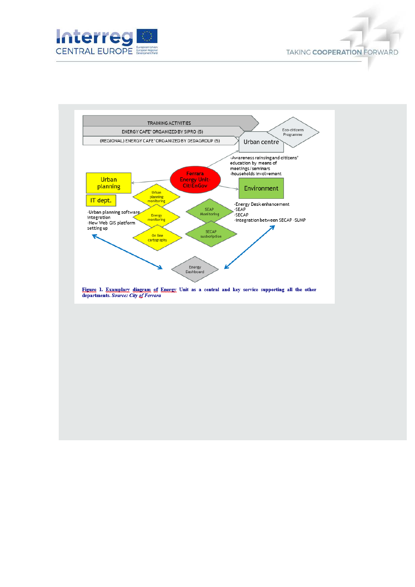